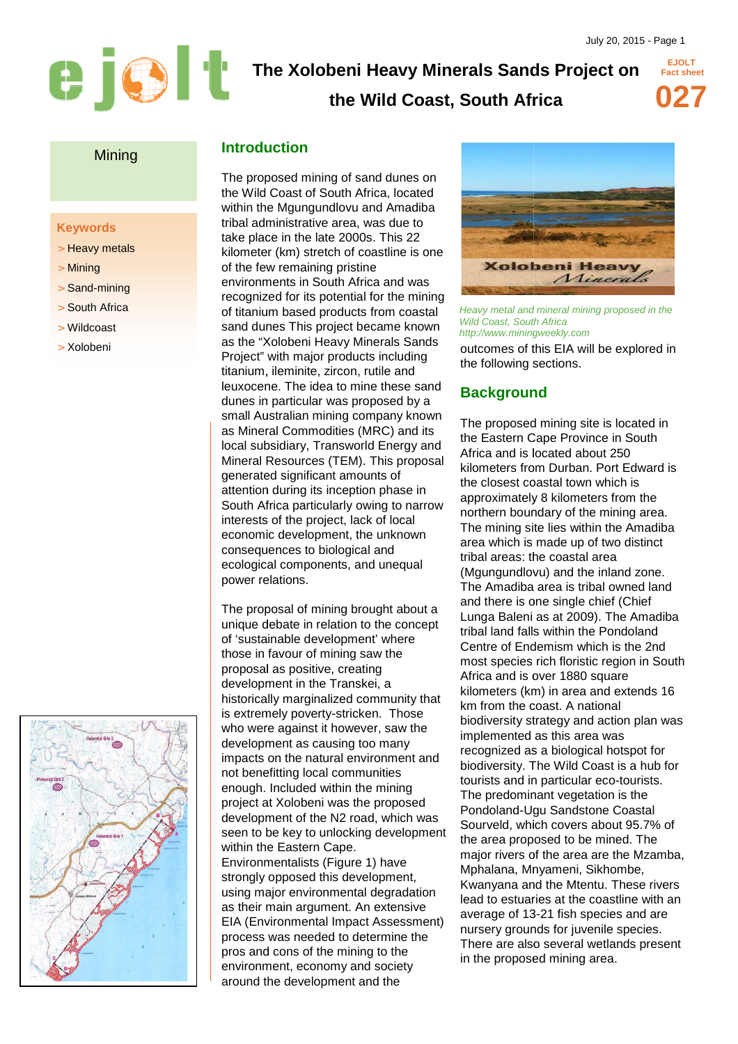# **The Xolobeni Heavy Minerals Sands Project on <br>the Wild Coast South Africa**

# **the Wild Coast, South Africa**



**EJOLT** 

#### Mining

#### **Keywords**

- > Heavy metals
- > Mining
- > Sand-mining
- > South Africa
- > Wildcoast
- > Xolobeni



# **Introduction**

The proposed mining of sand dunes on the Wild Coast of South Africa, located within the Mgungundlovu and Ama Amadiba tribal administrative area, was due to take place in the late 2000s. This 22 kilometer (km) stretch of coastline is one of the few remaining pristine environments in South Africa and was recognized for its potential for the mining of titanium based products from coastal sand dunes This project became known as the "Xolobeni Heavy Minerals Sands Project" with major products including titanium, ileminite, zircon, rutile and leuxocene. The idea to mine these sand dunes in particular was proposed by a small Australian mining company known as Mineral Commodities (MRC) and its local subsidiary, Transworld Energy and Mineral Resources (TEM). This proposal generated significant amounts of attention during its inception phase in South Africa particularly owing to narrow interests of the project, lack of local economic development, the unknown consequences to biological and ecological components, and unequal power relations.

The proposal of mining brought about a unique debate in relation to the concept of 'sustainable development' where those in favour of mining saw the proposal as positive, creating development in the Transkei, a historically marginalized community that is extremely poverty poverty-stricken. Those who were against it however, saw the development as causing too many impacts on the natural environment and not benefitting local communities enough. Included within the mining project at Xolobeni was the proposed development of the N2 road, which was seen to be key to unlocking development within the Eastern Cape. Environmentalists (Figure 1) have strongly opposed this development. using major environmental degradation as their main argument. An extensive EIA (Environmental Impact Assessment) process was needed to determine the pros and cons of the mining to the environment, economy and society around the development and the



Heavy metal and mineral mining proposed in the Wild Coast, South Africa http://www.miningweekly.com

outcomes of this EIA will be explored in the following sections.

### **Background**

The proposed mining site is located in the Eastern Cape Province in South Africa and is located about 250 kilometers from Durban. Port Edward is the closest coastal town which is approximately 8 kilometers from the northern boundary of the mining area. The mining site lies within the Amadiba area which is made up of two distinct tribal areas: the coastal area (Mgungundlovu) and the inland zone. The Amadiba area is tribal owned land and there is one single chief (Chief Lunga Baleni as at 2009). The Am Amadiba tribal land falls within the Pondoland Centre of Endemism which is the 2nd most species rich floristic region in South Africa and is over 1880 square kilometers (km) in area and extends 16 km from the coast. A national biodiversity strategy and action plan was implemented as this area was recognized as a biological hotspot for biodiversity. The Wild Coast is a hub for tourists and in particular eco-tourists. The predominant vegetation is the Pondoland-Ugu Sandstone Coastal Sourveld, which covers about 95.7% of the area proposed to be mined. The major rivers of the area are the Mzamba, Mphalana, Mnyameni, Sikhombe, Kwanyana and the Mtentu. These rivers lead to estuaries at the coastline with an Pondoland-Ugu Sandstone Coastal<br>Sourveld, which covers about 95.7% o<br>the area proposed to be mined. The<br>major rivers of the area are the Mzamt<br>Mphalana, Mnyameni, Sikhombe,<br>Kwanyana and the Mtentu. These rivel<br>lead to estu nursery grounds for juvenile species. There are also several wetlands present in the proposed mining area.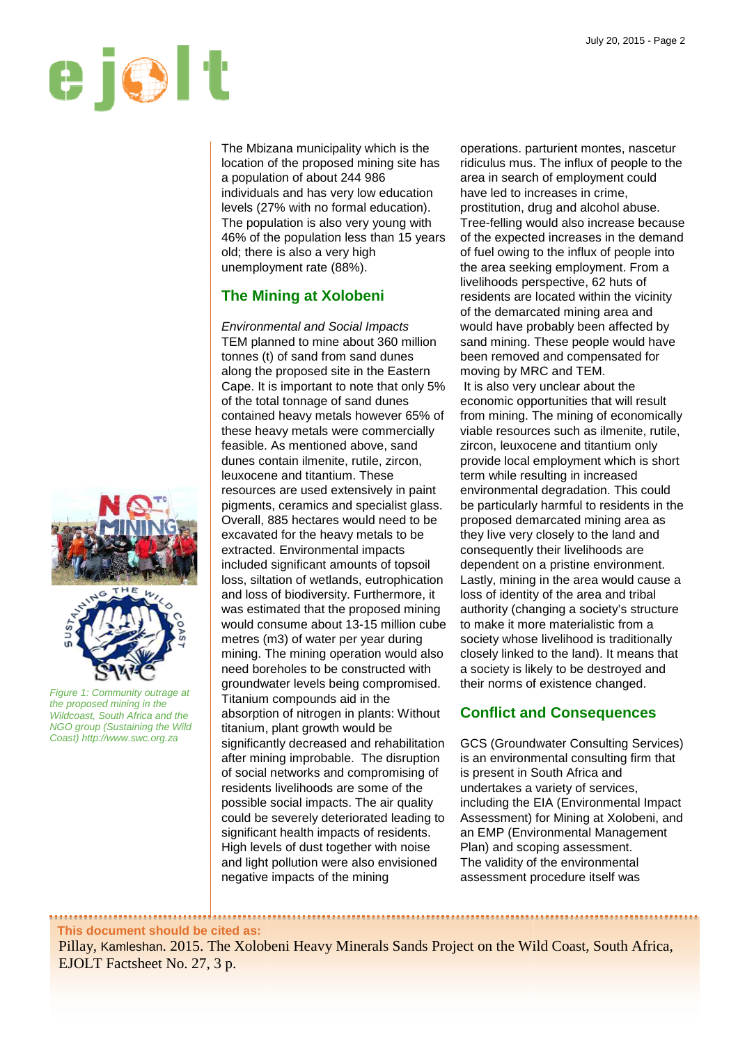

The Mbizana municipality which is the location of the proposed mining site has a population of about 244 986 individuals and has very low education levels (27% with no formal education). The population is also very young with 46% of the population less than 15 years old; there is also a very high unemployment rate (88%).

# **The Mining at Xolobeni**

Environmental and Social Impacts TEM planned to mine about 360 million tonnes (t) of sand from sand dunes along the proposed site in the Eastern Cape. It is important to note that only 5% of the total tonnage of sand dunes contained heavy metals however 65% of these heavy metals were commercially feasible. As mentioned above, sand dunes contain ilmenite, rutile, zircon, leuxocene and titantium. These resources are used extensively in paint pigments, ceramics and specialist glass. Overall, 885 hectares would need to be excavated for the heavy metals to be extracted. Environmental impacts included significant amounts of topsoil loss, siltation of wetlands, eutrophication and loss of biodiversity. Furthermore, it was estimated that the proposed mining would consume about 13 13-15 million cube metres (m3) of water per year during mining. The mining operation would also need boreholes to be constructed with groundwater levels being compromised. Titanium compounds aid in the absorption of nitrogen in plants: Without titanium, plant growth would be significantly decreased and rehabilitation after mining improbable. The disruption of social networks and compromising of residents livelihoods are some of the possible social impacts. The air quality could be severely deteriorated leading to significantly decreased and rehabilitatic<br>after mining improbable. The disruption<br>of social networks and compromising o<br>residents livelihoods are some of the<br>possible social impacts. The air quality<br>could be severely deter High levels of dust together with noise and light pollution were also envisioned negative impacts of the mining

operations. parturient montes, nascetur ridiculus mus. The influx of people to the area in search of employment could have led to increases in crime, prostitution, drug and alcohol abuse. Tree-felling would also increase because of the expected increases in the demand of fuel owing to the influx of people into the area seeking employment. livelihoods perspective, 6 62 huts of residents are located within the vicinity of the demarcated mining area and would have probably been affected by sand mining. These people would have been removed and compensated for moving by MRC and TEM. It is also very unclear about the economic opportunities that will result from mining. The mining of economically viable resources such as ilmenite, rutile, zircon, leuxocene and titantium only provide local employment which is short term while resulting in increased environmental degradation. This could be particularly harmful to residents in the proposed demarcated mining area they live very closely to the land and consequently their livelihoods are dependent on a pristine environment. Lastly, mining in the area would cause a loss of identity of the area and tribal authority (changing a society's structure to make it more materialistic from a society whose livelihood is traditionally closely linked to the land). It means that a society is likely to be destroyed and their norms of existence changed. felling would also increase becau<br>expected increases in the demar<br>el owing to the influx of people into<br>rea seeking employment. From a urces such as ilmenite, rutil<br>cocene and titantium only<br>al employment which is sho<br>resulting in increased<br>ntal degradation. This could<br>arly harmful to residents in t<br>lemarcated mining area as

# **Conflict and Consequences**

GCS (Groundwater Consulting Services) is an environmental consulting firm that is present in South Africa and undertakes a variety of services, including the EIA (Environmental Impact Assessment) for Mining at Xolobeni, and an EMP (Environmental Management Plan) and scoping assessment. The validity of the environmental assessment procedure itself was

Figure 1: Community outrage at the proposed mining in the Wildcoast, South Africa and the NGO group (Sustaining the Wild Coast) http://www.swc.org.za

**This document should be cited as:**

Pillay, Kamleshan. 2015. The Xolobeni Heavy Minerals Sands Project on the Wild Coast, South Africa, EJOLT Factsheet No. 27, 3 p.